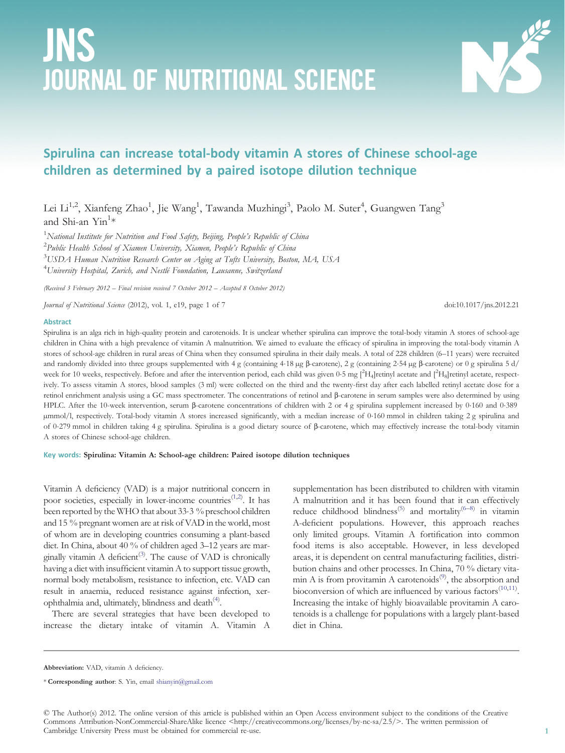# JNS JOURNAL OF NUTRITIONAL SCIENCE



# Spirulina can increase total-body vitamin A stores of Chinese school-age children as determined by a paired isotope dilution technique

Lei Li<sup>1,2</sup>, Xianfeng Zhao<sup>1</sup>, Jie Wang<sup>1</sup>, Tawanda Muzhingi<sup>3</sup>, Paolo M. Suter<sup>4</sup>, Guangwen Tang<sup>3</sup> and Shi-an  $\mathrm{Yin}^{1\ast}$ 

 $^1$ National Institute for Nutrition and Food Safety, Beijing, People's Republic of China  $^2$ Public Health School of Xiamen University, Xiamen, People's Republic of China  $^3$ USDA Human Nutrition Research Center on Aging at Tufts University, Boston, MA, USA  $^4$ University Hospital, Zurich, and Nestlé Foundation, Lausanne, Switzerland

(Received 3 February 2012 – Final revision received 7 October 2012 – Accepted 8 October 2012)

Journal of Nutritional Science (2012), vol. 1, e19, page 1 of 7 doi:10.1017/jns.2012.21

#### Abstract

Spirulina is an alga rich in high-quality protein and carotenoids. It is unclear whether spirulina can improve the total-body vitamin A stores of school-age children in China with a high prevalence of vitamin A malnutrition. We aimed to evaluate the efficacy of spirulina in improving the total-body vitamin A stores of school-age children in rural areas of China when they consumed spirulina in their daily meals. A total of 228 children (6–11 years) were recruited and randomly divided into three groups supplemented with 4 g (containing 4·18 µg β-carotene), 2 g (containing 2·54 µg β-carotene) or 0 g spirulina 5 d/ week for 10 weeks, respectively. Before and after the intervention period, each child was given 0.5 mg  $[^2H_4]$ retinyl acetate and  $[^2H_8]$ retinyl acetate, respectively. To assess vitamin A stores, blood samples (3 ml) were collected on the third and the twenty-first day after each labelled retinyl acetate dose for a retinol enrichment analysis using a GC mass spectrometer. The concentrations of retinol and β-carotene in serum samples were also determined by using HPLC. After the 10-week intervention, serum β-carotene concentrations of children with 2 or 4 g spirulina supplement increased by 0·160 and 0·389 µmmol/l, respectively. Total-body vitamin A stores increased significantly, with a median increase of 0·160 mmol in children taking 2 g spirulina and of 0·279 mmol in children taking 4 g spirulina. Spirulina is a good dietary source of β-carotene, which may effectively increase the total-body vitamin A stores of Chinese school-age children.

## Key words: Spirulina: Vitamin A: School-age children: Paired isotope dilution techniques

Vitamin A deficiency (VAD) is a major nutritional concern in poor societies, especially in lower-income countries<sup>([1,2\)](#page-5-0)</sup>. It has been reported by the WHO that about 33·3 % preschool children and 15 % pregnant women are at risk of VAD in the world, most of whom are in developing countries consuming a plant-based diet. In China, about 40 % of children aged 3–12 years are mar-ginally vitamin A deficient<sup>([3](#page-5-0))</sup>. The cause of VAD is chronically having a diet with insufficient vitamin A to support tissue growth, normal body metabolism, resistance to infection, etc. VAD can result in anaemia, reduced resistance against infection, xer-ophthalmia and, ultimately, blindness and death<sup>[\(4\)](#page-5-0)</sup>.

There are several strategies that have been developed to increase the dietary intake of vitamin A. Vitamin A

supplementation has been distributed to children with vitamin A malnutrition and it has been found that it can effectively reduce childhood blindness<sup>[\(5\)](#page-5-0)</sup> and mortality<sup>[\(6](#page-5-0)–[8\)](#page-5-0)</sup> in vitamin A-deficient populations. However, this approach reaches only limited groups. Vitamin A fortification into common food items is also acceptable. However, in less developed areas, it is dependent on central manufacturing facilities, distribution chains and other processes. In China, 70 % dietary vitamin A is from provitamin A carotenoids<sup> $(9)$ </sup>, the absorption and bioconversion of which are influenced by various factors<sup>([10,11](#page-5-0))</sup>. Increasing the intake of highly bioavailable provitamin A carotenoids is a challenge for populations with a largely plant-based diet in China.

Abbreviation: VAD, vitamin A deficiency.

© The Author(s) 2012. The online version of this article is published within an Open Access environment subject to the conditions of the Creative Commons Attribution-NonCommercial-ShareAlike licence <http://creativecommons.org/licenses/by-nc-sa/2.5/>. The written permission of Cambridge University Press must be obtained for commercial re-use.

<sup>\*</sup> Corresponding author: S. Yin, email [shianyin@gmail.com](mailto:shianyin@gmail.com)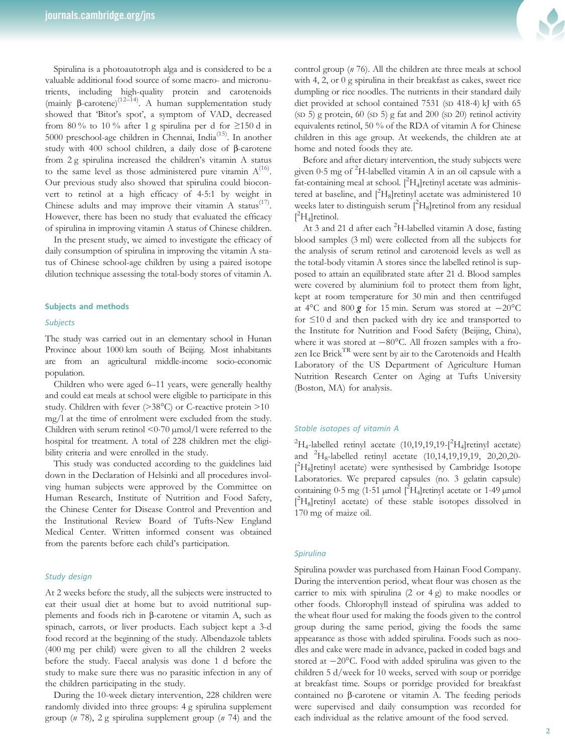Spirulina is a photoautotroph alga and is considered to be a valuable additional food source of some macro- and micronutrients, including high-quality protein and carotenoids (mainly β-carotene)[\(12](#page-5-0)–[14\)](#page-5-0) . A human supplementation study showed that 'Bitot's spot', a symptom of VAD, decreased from 80% to 10% after 1 g spirulina per d for  $\geq$ 150 d in 5000 preschool-age children in Chennai, India<sup>[\(15](#page-5-0))</sup>. In another study with 400 school children, a daily dose of β-carotene from 2 g spirulina increased the children's vitamin A status to the same level as those administered pure vitamin  $A^{(16)}$  $A^{(16)}$  $A^{(16)}$ . Our previous study also showed that spirulina could bioconvert to retinol at a high efficacy of 4·5:1 by weight in Chinese adults and may improve their vitamin A status<sup>[\(17](#page-6-0))</sup>. However, there has been no study that evaluated the efficacy of spirulina in improving vitamin A status of Chinese children.

In the present study, we aimed to investigate the efficacy of daily consumption of spirulina in improving the vitamin A status of Chinese school-age children by using a paired isotope dilution technique assessing the total-body stores of vitamin A.

# Subjects and methods

#### Subjects

The study was carried out in an elementary school in Hunan Province about 1000 km south of Beijing. Most inhabitants are from an agricultural middle-income socio-economic population.

Children who were aged 6–11 years, were generally healthy and could eat meals at school were eligible to participate in this study. Children with fever (>38°C) or C-reactive protein >10 mg/l at the time of enrolment were excluded from the study. Children with serum retinol <0.70 µmol/l were referred to the hospital for treatment. A total of 228 children met the eligibility criteria and were enrolled in the study.

This study was conducted according to the guidelines laid down in the Declaration of Helsinki and all procedures involving human subjects were approved by the Committee on Human Research, Institute of Nutrition and Food Safety, the Chinese Center for Disease Control and Prevention and the Institutional Review Board of Tufts-New England Medical Center. Written informed consent was obtained from the parents before each child's participation.

#### Study design

At 2 weeks before the study, all the subjects were instructed to eat their usual diet at home but to avoid nutritional supplements and foods rich in β-carotene or vitamin A, such as spinach, carrots, or liver products. Each subject kept a 3-d food record at the beginning of the study. Albendazole tablets (400 mg per child) were given to all the children 2 weeks before the study. Faecal analysis was done 1 d before the study to make sure there was no parasitic infection in any of the children participating in the study.

During the 10-week dietary intervention, 228 children were randomly divided into three groups: 4 g spirulina supplement group ( $n$  78), 2 g spirulina supplement group ( $n$  74) and the



control group (n 76). All the children ate three meals at school with 4, 2, or 0 g spirulina in their breakfast as cakes, sweet rice dumpling or rice noodles. The nutrients in their standard daily diet provided at school contained 7531 (SD 418-4) kJ with 65 (SD 5) g protein,  $60$  (SD 5) g fat and  $200$  (SD  $20$ ) retinol activity equivalents retinol, 50 % of the RDA of vitamin A for Chinese children in this age group. At weekends, the children ate at home and noted foods they ate.

Before and after dietary intervention, the study subjects were given 0.5 mg of <sup>2</sup>H-labelled vitamin A in an oil capsule with a fat-containing meal at school.  $[^{2}H_{4}]$ retinyl acetate was administered at baseline, and  $[^{2}H_{8}]$ retinyl acetate was administered 10 weeks later to distinguish serum [2H<sub>8</sub>]retinol from any residual  $[^2H_4]$ retinol.

At 3 and 21 d after each <sup>2</sup>H-labelled vitamin A dose, fasting blood samples (3 ml) were collected from all the subjects for the analysis of serum retinol and carotenoid levels as well as the total-body vitamin A stores since the labelled retinol is supposed to attain an equilibrated state after 21 d. Blood samples were covered by aluminium foil to protect them from light, kept at room temperature for 30 min and then centrifuged at 4°C and 800 g for 15 min. Serum was stored at <sup>−</sup>20°C for ≤10 d and then packed with dry ice and transported to the Institute for Nutrition and Food Safety (Beijing, China), where it was stored at −80°C. All frozen samples with a frozen Ice Brick<sup>TR</sup> were sent by air to the Carotenoids and Health Laboratory of the US Department of Agriculture Human Nutrition Research Center on Aging at Tufts University (Boston, MA) for analysis.

# Stable isotopes of vitamin A

 ${}^{2}H_{4}$ -labelled retinyl acetate (10,19,19,19-[ ${}^{2}H_{4}$ ]retinyl acetate) and <sup>2</sup>H<sub>8</sub>-labelled retinyl acetate (10,14,19,19,19, 20,20,20-[ 2 H8]retinyl acetate) were synthesised by Cambridge Isotope Laboratories. We prepared capsules (no. 3 gelatin capsule) containing  $0.5$  mg  $(1.51 \mu \text{mol})^2$   $H_4$  retinyl acetate or  $1.49 \mu \text{mol}$ [ 2 H8]retinyl acetate) of these stable isotopes dissolved in 170 mg of maize oil.

# Spirulina

Spirulina powder was purchased from Hainan Food Company. During the intervention period, wheat flour was chosen as the carrier to mix with spirulina (2 or 4 g) to make noodles or other foods. Chlorophyll instead of spirulina was added to the wheat flour used for making the foods given to the control group during the same period, giving the foods the same appearance as those with added spirulina. Foods such as noodles and cake were made in advance, packed in coded bags and stored at −20°C. Food with added spirulina was given to the children 5 d/week for 10 weeks, served with soup or porridge at breakfast time. Soups or porridge provided for breakfast contained no β-carotene or vitamin A. The feeding periods were supervised and daily consumption was recorded for each individual as the relative amount of the food served.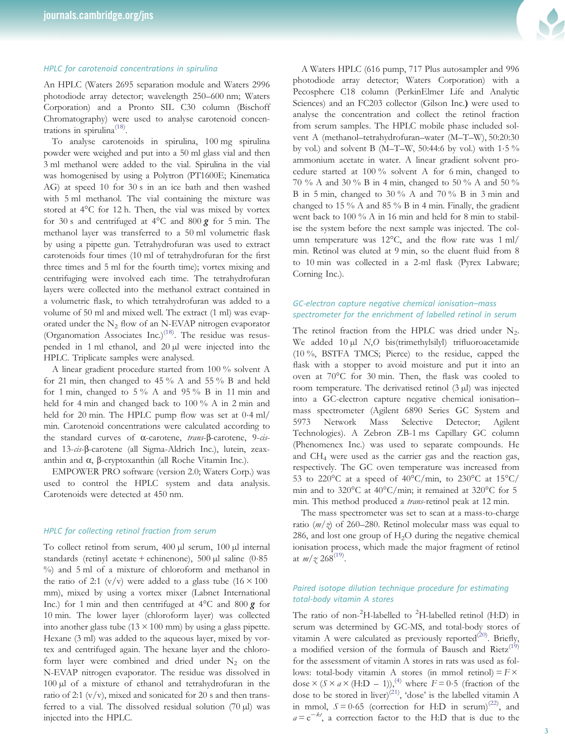# HPLC for carotenoid concentrations in spirulina

An HPLC (Waters 2695 separation module and Waters 2996 photodiode array detector; wavelength 250–600 nm; Waters Corporation) and a Pronto SIL C30 column (Bischoff Chromatography) were used to analyse carotenoid concen-trations in spirulina<sup>[\(18](#page-6-0))</sup>.

To analyse carotenoids in spirulina, 100 mg spirulina powder were weighed and put into a 50 ml glass vial and then 3 ml methanol were added to the vial. Spirulina in the vial was homogenised by using a Polytron (PT1600E; Kinematica AG) at speed 10 for 30 s in an ice bath and then washed with 5 ml methanol. The vial containing the mixture was stored at 4°C for 12 h. Then, the vial was mixed by vortex for 30 s and centrifuged at  $4^{\circ}$ C and  $800 g$  for 5 min. The methanol layer was transferred to a 50 ml volumetric flask by using a pipette gun. Tetrahydrofuran was used to extract carotenoids four times (10 ml of tetrahydrofuran for the first three times and 5 ml for the fourth time); vortex mixing and centrifuging were involved each time. The tetrahydrofuran layers were collected into the methanol extract contained in a volumetric flask, to which tetrahydrofuran was added to a volume of 50 ml and mixed well. The extract (1 ml) was evaporated under the  $N_2$  flow of an N-EVAP nitrogen evaporator (Organomation Associates Inc.)<sup>[\(18](#page-6-0))</sup>. The residue was resuspended in 1 ml ethanol, and 20 µl were injected into the HPLC. Triplicate samples were analysed.

A linear gradient procedure started from 100 % solvent A for 21 min, then changed to 45 % A and 55 % B and held for 1 min, changed to 5 % A and 95 % B in 11 min and held for 4 min and changed back to 100 % A in 2 min and held for 20 min. The HPLC pump flow was set at  $0.4$  ml/ min. Carotenoid concentrations were calculated according to the standard curves of α-carotene, trans-β-carotene, 9-cisand 13-cis-β-carotene (all Sigma-Aldrich Inc.), lutein, zeaxanthin and α, β-cryptoxanthin (all Roche Vitamin Inc.).

EMPOWER PRO software (version 2.0; Waters Corp.) was used to control the HPLC system and data analysis. Carotenoids were detected at 450 nm.

#### HPLC for collecting retinol fraction from serum

To collect retinol from serum, 400 µl serum, 100 µl internal standards (retinyl acetate + echinenone), 500 µl saline (0·85 %) and 5 ml of a mixture of chloroform and methanol in the ratio of 2:1 (v/v) were added to a glass tube  $(16 \times 100)$ mm), mixed by using a vortex mixer (Labnet International Inc.) for 1 min and then centrifuged at  $4^{\circ}$ C and  $800 g$  for 10 min. The lower layer (chloroform layer) was collected into another glass tube  $(13 \times 100 \text{ mm})$  by using a glass pipette. Hexane (3 ml) was added to the aqueous layer, mixed by vortex and centrifuged again. The hexane layer and the chloroform layer were combined and dried under  $N_2$  on the N-EVAP nitrogen evaporator. The residue was dissolved in 100 µl of a mixture of ethanol and tetrahydrofuran in the ratio of 2:1  $(v/v)$ , mixed and sonicated for 20 s and then transferred to a vial. The dissolved residual solution (70 µl) was injected into the HPLC.



A Waters HPLC (616 pump, 717 Plus autosampler and 996 photodiode array detector; Waters Corporation) with a Pecosphere C18 column (PerkinElmer Life and Analytic Sciences) and an FC203 collector (Gilson Inc.) were used to analyse the concentration and collect the retinol fraction from serum samples. The HPLC mobile phase included solvent A (methanol–tetrahydrofuran–water (M–T–W), 50:20:30 by vol.) and solvent B (M–T–W, 50:44:6 by vol.) with 1·5 % ammonium acetate in water. A linear gradient solvent procedure started at 100 % solvent A for 6 min, changed to 70 % A and 30 % B in 4 min, changed to 50 % A and 50 % B in 5 min, changed to 30 % A and 70 % B in 3 min and changed to 15 % A and 85 % B in 4 min. Finally, the gradient went back to 100 % A in 16 min and held for 8 min to stabilise the system before the next sample was injected. The column temperature was 12°C, and the flow rate was 1 ml/ min. Retinol was eluted at 9 min, so the eluent fluid from 8 to 10 min was collected in a 2-ml flask (Pyrex Labware; Corning Inc.).

# GC-electron capture negative chemical ionisation–mass spectrometer for the enrichment of labelled retinol in serum

The retinol fraction from the HPLC was dried under  $N_2$ . We added 10 µl N,O bis(trimethylsilyl) trifluoroacetamide (10 %, BSTFA TMCS; Pierce) to the residue, capped the flask with a stopper to avoid moisture and put it into an oven at 70°C for 30 min. Then, the flask was cooled to room temperature. The derivatised retinol (3 µl) was injected into a GC-electron capture negative chemical ionisation– mass spectrometer (Agilent 6890 Series GC System and 5973 Network Mass Selective Detector; Agilent Technologies). A Zebron ZB-1 ms Capillary GC column (Phenomenex Inc.) was used to separate compounds. He and CH4 were used as the carrier gas and the reaction gas, respectively. The GC oven temperature was increased from 53 to 220 $\rm{^{\circ}C}$  at a speed of 40 $\rm{^{\circ}C/min}$ , to 230 $\rm{^{\circ}C}$  at 15 $\rm{^{\circ}C/}$ min and to 320°C at 40°C/min; it remained at 320°C for 5 min. This method produced a trans-retinol peak at 12 min.

The mass spectrometer was set to scan at a mass-to-charge ratio ( $m/z$ ) of 260–280. Retinol molecular mass was equal to 286, and lost one group of  $H_2O$  during the negative chemical ionisation process, which made the major fragment of retinol at  $m/\chi 268^{(19)}$  $m/\chi 268^{(19)}$  $m/\chi 268^{(19)}$ .

# Paired isotope dilution technique procedure for estimating total-body vitamin A stores

The ratio of non- ${}^{2}$ H-labelled to  ${}^{2}$ H-labelled retinol (H:D) in serum was determined by GC-MS, and total-body stores of vitamin A were calculated as previously reported<sup>[\(20](#page-6-0))</sup>. Briefly, a modified version of the formula of Bausch and  $Rietz$ <sup>[\(19\)](#page-6-0)</sup> for the assessment of vitamin A stores in rats was used as follows: total-body vitamin A stores (in mmol retinol) =  $F \times$ dose  $\times$  (S  $\times$  a  $\times$  (H:D – 1)),<sup>([4\)](#page-5-0)</sup> where  $F = 0.5$  (fraction of the dose to be stored in liver)<sup>[\(21](#page-6-0))</sup>, 'dose' is the labelled vitamin A in mmol,  $S = 0.65$  (correction for H:D in serum)<sup>([22\)](#page-6-0)</sup>, and  $a = e^{-kt}$ , a correction factor to the H:D that is due to the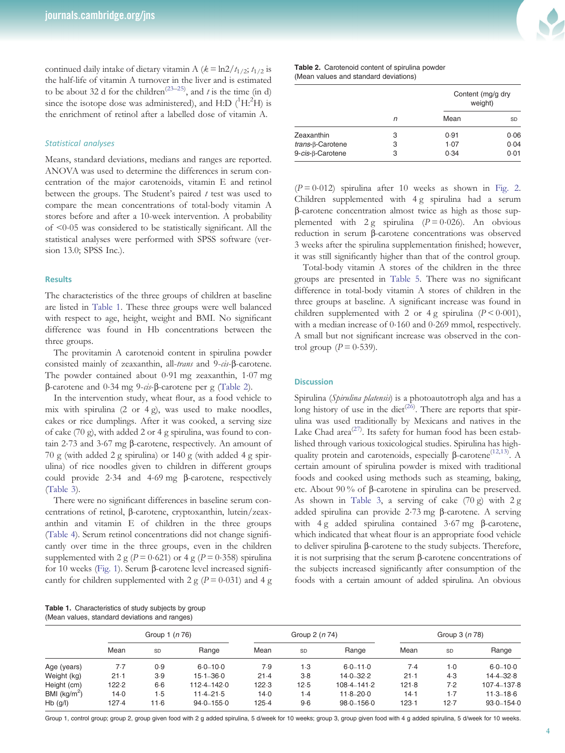continued daily intake of dietary vitamin A ( $k = \ln 2/t_{1/2}$ ;  $t_{1/2}$  is the half-life of vitamin A turnover in the liver and is estimated to be about 32 d for the children<sup>[\(23](#page-6-0)–[25\)](#page-6-0)</sup>, and *t* is the time (in d) since the isotope dose was administered), and  $H:D(^{1}H.^{2}H)$  is the enrichment of retinol after a labelled dose of vitamin A.

# Statistical analyses

Means, standard deviations, medians and ranges are reported. ANOVA was used to determine the differences in serum concentration of the major carotenoids, vitamin E and retinol between the groups. The Student's paired  $t$  test was used to compare the mean concentrations of total-body vitamin A stores before and after a 10-week intervention. A probability of <0·05 was considered to be statistically significant. All the statistical analyses were performed with SPSS software (version 13.0; SPSS Inc.).

## **Results**

The characteristics of the three groups of children at baseline are listed in Table 1. These three groups were well balanced with respect to age, height, weight and BMI. No significant difference was found in Hb concentrations between the three groups.

The provitamin A carotenoid content in spirulina powder consisted mainly of zeaxanthin, all-trans and 9-cis-β-carotene. The powder contained about 0·91 mg zeaxanthin, 1·07 mg β-carotene and 0·34 mg 9-cis-β-carotene per g (Table 2).

In the intervention study, wheat flour, as a food vehicle to mix with spirulina  $(2 \text{ or } 4 \text{ g})$ , was used to make noodles, cakes or rice dumplings. After it was cooked, a serving size of cake (70 g), with added 2 or 4 g spirulina, was found to contain 2·73 and 3·67 mg β-carotene, respectively. An amount of 70 g (with added 2 g spirulina) or 140 g (with added 4 g spirulina) of rice noodles given to children in different groups could provide 2·34 and 4·69 mg β-carotene, respectively [\(Table 3\)](#page-4-0).

There were no significant differences in baseline serum concentrations of retinol, β-carotene, cryptoxanthin, lutein/zeaxanthin and vitamin E of children in the three groups [\(Table 4](#page-4-0)). Serum retinol concentrations did not change significantly over time in the three groups, even in the children supplemented with 2 g ( $P = 0.621$ ) or 4 g ( $P = 0.358$ ) spirulina for 10 weeks ([Fig. 1](#page-4-0)). Serum β-carotene level increased significantly for children supplemented with 2 g ( $P = 0.031$ ) and 4 g

|  |                                               | Table 1. Characteristics of study subjects by group |
|--|-----------------------------------------------|-----------------------------------------------------|
|  | (Mean values, standard deviations and ranges) |                                                     |

|  |  | Table 2. Carotenoid content of spirulina powder |  |
|--|--|-------------------------------------------------|--|
|  |  | (Mean values and standard deviations)           |  |

|                    |   | Content (mg/g dry<br>weight) |      |  |
|--------------------|---|------------------------------|------|--|
|                    | n | Mean                         | SD   |  |
| Zeaxanthin         | 3 | 0.91                         | 0.06 |  |
| $trans-B-Carotene$ | 3 | 1.07                         | 0.04 |  |
| 9-cis-β-Carotene   | 3 | 0.34                         | 0.01 |  |

 $(P = 0.012)$  spirulina after 10 weeks as shown in [Fig. 2](#page-4-0). Children supplemented with 4 g spirulina had a serum β-carotene concentration almost twice as high as those supplemented with  $2 g$  spirulina ( $P = 0.026$ ). An obvious reduction in serum β-carotene concentrations was observed 3 weeks after the spirulina supplementation finished; however, it was still significantly higher than that of the control group.

Total-body vitamin A stores of the children in the three groups are presented in [Table 5](#page-5-0). There was no significant difference in total-body vitamin A stores of children in the three groups at baseline. A significant increase was found in children supplemented with 2 or 4 g spirulina ( $P \le 0.001$ ), with a median increase of 0·160 and 0·269 mmol, respectively. A small but not significant increase was observed in the control group ( $P = 0.539$ ).

#### **Discussion**

Spirulina (Spirulina platensis) is a photoautotroph alga and has a long history of use in the diet<sup> $(26)$  $(26)$ </sup>. There are reports that spirulina was used traditionally by Mexicans and natives in the Lake Chad area<sup>([27\)](#page-6-0)</sup>. Its safety for human food has been established through various toxicological studies. Spirulina has high-quality protein and carotenoids, especially β-carotene<sup>[\(12](#page-5-0),[13\)](#page-5-0)</sup>. A certain amount of spirulina powder is mixed with traditional foods and cooked using methods such as steaming, baking, etc. About 90 % of β-carotene in spirulina can be preserved. As shown in [Table 3,](#page-4-0) a serving of cake  $(70 g)$  with  $2 g$ added spirulina can provide 2·73 mg β-carotene. A serving with 4 g added spirulina contained 3·67 mg β-carotene, which indicated that wheat flour is an appropriate food vehicle to deliver spirulina β-carotene to the study subjects. Therefore, it is not surprising that the serum β-carotene concentrations of the subjects increased significantly after consumption of the foods with a certain amount of added spirulina. An obvious

|                |        | Group 1 (n 76) |                 |       | Group 2 (n 74)   |                 |       | Group 3 (n 78) |                |  |
|----------------|--------|----------------|-----------------|-------|------------------|-----------------|-------|----------------|----------------|--|
|                | Mean   | SD             | Range           | Mean  | SD               | Range           | Mean  | SD             | Range          |  |
| Age (years)    | 7.7    | 0.9            | $6.0 - 10.0$    | 7.9   | l ·3             | $6.0 - 11.0$    | 7.4   | $1-0$          | $6.0 - 10.0$   |  |
| Weight (kg)    | $21-1$ | 3.9            | $15.1 - 36.0$   | 21.4  | 3.8              | $14.0 - 32.2$   | 21.1  | 4.3            | $14.4 - 32.8$  |  |
| Height (cm)    | 122.2  | 6.6            | $112.4 - 142.0$ | 122.3 | 12.5             | $108.4 - 141.2$ | 121.8 | 7.2            | 107-4-137-8    |  |
| BMI $(kg/m^2)$ | 14.0   | 1.5            | $11.4 - 21.5$   | 14.0  | $\overline{1.4}$ | $11.8 - 20.0$   | 14.1  | 1.7            | $11.3 - 18.6$  |  |
| $Hb$ (g/l)     | 127.4  | 11 6           | $94.0 - 155.0$  | 125.4 | 9.6              | $98.0 - 156.0$  | 123.1 | 12.7           | $93.0 - 154.0$ |  |

Group 1, control group; group 2, group given food with 2 g added spirulina, 5 d/week for 10 weeks; group 3, group given food with 4 g added spirulina, 5 d/week for 10 weeks.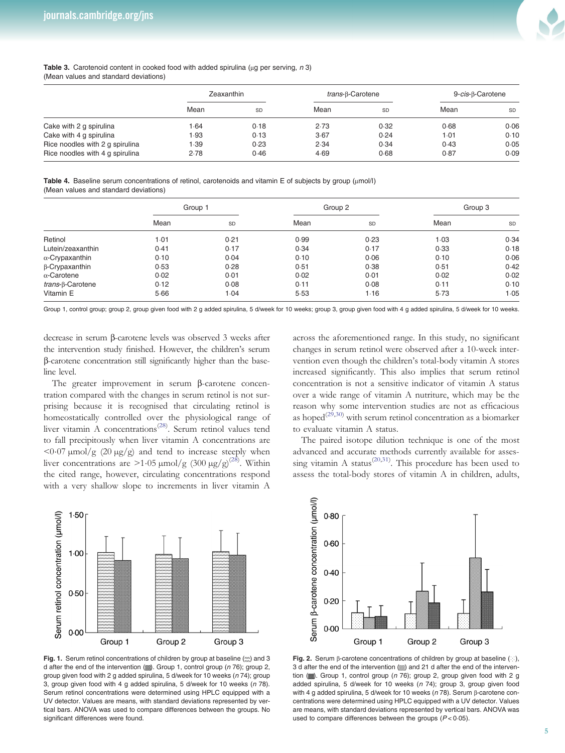

#### <span id="page-4-0"></span>Table 3. Carotenoid content in cooked food with added spirulina (μα per serving, n 3) (Mean values and standard deviations)

|                                 | Zeaxanthin |           | $trans-B-Carotene$ |      | 9-cis-B-Carotene |      |
|---------------------------------|------------|-----------|--------------------|------|------------------|------|
|                                 | Mean       | <b>SD</b> | Mean               | SD   | Mean             | SD   |
| Cake with 2 g spirulina         | 1.64       | 0.18      | 2.73               | 0.32 | 0.68             | 0.06 |
| Cake with 4 g spirulina         | 1.93       | 0.13      | 3.67               | 0.24 | 1.01             | 0.10 |
| Rice noodles with 2 g spirulina | 1.39       | 0.23      | 2.34               | 0.34 | 0.43             | 0.05 |
| Rice noodles with 4 g spirulina | 2.78       | 0.46      | 4.69               | 0.68 | 0.87             | 0.09 |

Table 4. Baseline serum concentrations of retinol, carotenoids and vitamin E of subjects by group (μmol/l) (Mean values and standard deviations)

|                          | Group 1 |      |      | Group 2 |      | Group 3   |  |
|--------------------------|---------|------|------|---------|------|-----------|--|
|                          | Mean    | SD   | Mean | SD      | Mean | <b>SD</b> |  |
| Retinol                  | 1.01    | 0.21 | 0.99 | 0.23    | 1.03 | 0.34      |  |
| Lutein/zeaxanthin        | 0.41    | 0.17 | 0.34 | 0.17    | 0.33 | 0.18      |  |
| $\alpha$ -Crypaxanthin   | 0.10    | 0.04 | 0.10 | 0.06    | 0.10 | 0.06      |  |
| $\beta$ -Crypaxanthin    | 0.53    | 0.28 | 0.51 | 0.38    | 0.51 | 0.42      |  |
| $\alpha$ -Carotene       | 0.02    | 0.01 | 0.02 | 0.01    | 0.02 | 0.02      |  |
| <i>trans</i> -β-Carotene | 0.12    | 0.08 | 0.11 | 0.08    | 0.11 | 0.10      |  |
| Vitamin E                | 5.66    | 1.04 | 5.53 | 1.16    | 5.73 | 1.05      |  |

Group 1, control group; group 2, group given food with 2 g added spirulina, 5 d/week for 10 weeks; group 3, group given food with 4 g added spirulina, 5 d/week for 10 weeks.

decrease in serum β-carotene levels was observed 3 weeks after the intervention study finished. However, the children's serum β-carotene concentration still significantly higher than the baseline level.

The greater improvement in serum β-carotene concentration compared with the changes in serum retinol is not surprising because it is recognised that circulating retinol is homeostatically controlled over the physiological range of liver vitamin A concentrations<sup>([28\)](#page-6-0)</sup>. Serum retinol values tend to fall precipitously when liver vitamin A concentrations are  $\langle 0.07 \,\mu\text{mol}/\text{g}$  (20  $\mu\text{g}/\text{g}$ ) and tend to increase steeply when liver concentrations are  $>1.05 \,\mu\text{mol/g}$  (300  $\mu\text{g/g}^{(28)}$  $\mu\text{g/g}^{(28)}$  $\mu\text{g/g}^{(28)}$ . Within the cited range, however, circulating concentrations respond with a very shallow slope to increments in liver vitamin A across the aforementioned range. In this study, no significant changes in serum retinol were observed after a 10-week intervention even though the children's total-body vitamin A stores increased significantly. This also implies that serum retinol concentration is not a sensitive indicator of vitamin A status over a wide range of vitamin A nutriture, which may be the reason why some intervention studies are not as efficacious as hoped $(2^{\circ},30)}$  $(2^{\circ},30)}$  $(2^{\circ},30)}$  with serum retinol concentration as a biomarker to evaluate vitamin A status.

The paired isotope dilution technique is one of the most advanced and accurate methods currently available for asses-sing vitamin A status<sup>[\(20](#page-6-0),[31\)](#page-6-0)</sup>. This procedure has been used to assess the total-body stores of vitamin A in children, adults,



Fig. 1. Serum retinol concentrations of children by group at baseline  $\langle \infty \rangle$  and 3 d after the end of the intervention (.). Group 1, control group ( $n$  76); group 2, group given food with 2 g added spirulina, 5 d/week for 10 weeks (n 74); group 3, group given food with 4 g added spirulina, 5 d/week for 10 weeks  $(n 78)$ . Serum retinol concentrations were determined using HPLC equipped with a UV detector. Values are means, with standard deviations represented by vertical bars. ANOVA was used to compare differences between the groups. No significant differences were found.



Fig. 2. Serum β-carotene concentrations of children by group at baseline (iii), 3 d after the end of the intervention (%) and 21 d after the end of the intervention ( $\mathcal{L}$ ). Group 1, control group (n 76); group 2, group given food with 2 g added spirulina, 5 d/week for 10 weeks  $(n 74)$ ; group 3, group given food with 4 g added spirulina, 5 d/week for 10 weeks (n 78). Serum β-carotene concentrations were determined using HPLC equipped with a UV detector. Values are means, with standard deviations represented by vertical bars. ANOVA was used to compare differences between the groups  $(P < 0.05)$ .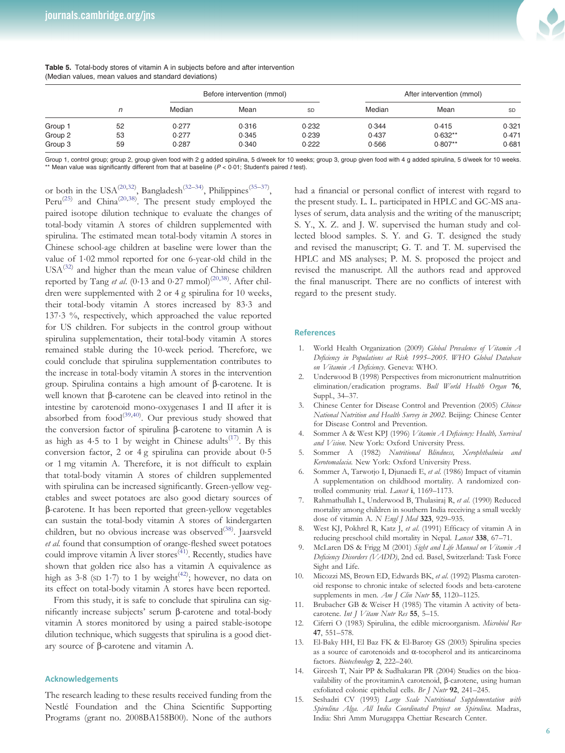

|         |    | Before intervention (mmol) |       |       |        | After intervention (mmol) |           |  |  |
|---------|----|----------------------------|-------|-------|--------|---------------------------|-----------|--|--|
|         | n  | Median                     | Mean  | SD    | Median | Mean                      | <b>SD</b> |  |  |
| Group 1 | 52 | 0.277                      | 0.316 | 0.232 | 0.344  | 0.415                     | 0.321     |  |  |
| Group 2 | 53 | 0.277                      | 0.345 | 0.239 | 0.437  | $0.632**$                 | 0.471     |  |  |
| Group 3 | 59 | 0.287                      | 0.340 | 0.222 | 0.566  | $0.807**$                 | 0.681     |  |  |

#### <span id="page-5-0"></span>Table 5. Total-body stores of vitamin A in subjects before and after intervention (Median values, mean values and standard deviations)

Group 1, control group; group 2, group given food with 2 g added spirulina, 5 d/week for 10 weeks; group 3, group given food with 4 g added spirulina, 5 d/week for 10 weeks. \*\* Mean value was significantly different from that at baseline  $(P < 0.01$ ; Student's paired t test).

or both in the USA<sup>([20](#page-6-0),[32\)](#page-6-0)</sup>, Bangladesh<sup>([32](#page-6-0)–[34\)](#page-6-0)</sup>, Philippines<sup>[\(35](#page-6-0)–[37](#page-6-0))</sup>, Peru<sup>([25\)](#page-6-0)</sup> and China<sup>[\(20,38](#page-6-0))</sup>. The present study employed the paired isotope dilution technique to evaluate the changes of total-body vitamin A stores of children supplemented with spirulina. The estimated mean total-body vitamin A stores in Chinese school-age children at baseline were lower than the value of 1·02 mmol reported for one 6-year-old child in the  $USA^{(32)}$  $USA^{(32)}$  $USA^{(32)}$  and higher than the mean value of Chinese children reported by Tang et al. (0.13 and 0.27 mmol)<sup>([20](#page-6-0),[38\)](#page-6-0)</sup>. After children were supplemented with 2 or 4 g spirulina for 10 weeks, their total-body vitamin A stores increased by 83·3 and 137·3 %, respectively, which approached the value reported for US children. For subjects in the control group without spirulina supplementation, their total-body vitamin A stores remained stable during the 10-week period. Therefore, we could conclude that spirulina supplementation contributes to the increase in total-body vitamin A stores in the intervention group. Spirulina contains a high amount of β-carotene. It is well known that β-carotene can be cleaved into retinol in the intestine by carotenoid mono-oxygenases I and II after it is absorbed from  $food^{(39,40)}$  $food^{(39,40)}$  $food^{(39,40)}$  $food^{(39,40)}$  $food^{(39,40)}$ . Our previous study showed that the conversion factor of spirulina β-carotene to vitamin A is as high as  $4.5$  to 1 by weight in Chinese adults<sup>([17\)](#page-6-0)</sup>. By this conversion factor, 2 or 4 g spirulina can provide about 0·5 or 1 mg vitamin A. Therefore, it is not difficult to explain that total-body vitamin A stores of children supplemented with spirulina can be increased significantly. Green-yellow vegetables and sweet potatoes are also good dietary sources of β-carotene. It has been reported that green-yellow vegetables can sustain the total-body vitamin A stores of kindergarten children, but no obvious increase was observed<sup>[\(38](#page-6-0))</sup>. Jaarsveld et al. found that consumption of orange-fleshed sweet potatoes could improve vitamin  $\overline{A}$  liver stores<sup>[\(41](#page-6-0))</sup>. Recently, studies have shown that golden rice also has a vitamin A equivalence as high as  $3.8$  (SD 1.7) to 1 by weight<sup>([42\)](#page-6-0)</sup>; however, no data on its effect on total-body vitamin A stores have been reported.

From this study, it is safe to conclude that spirulina can significantly increase subjects' serum β-carotene and total-body vitamin A stores monitored by using a paired stable-isotope dilution technique, which suggests that spirulina is a good dietary source of β-carotene and vitamin A.

# Acknowledgements

The research leading to these results received funding from the Nestlé Foundation and the China Scientific Supporting Programs (grant no. 2008BA158B00). None of the authors

had a financial or personal conflict of interest with regard to the present study. L. L. participated in HPLC and GC-MS analyses of serum, data analysis and the writing of the manuscript; S. Y., X. Z. and J. W. supervised the human study and collected blood samples. S. Y. and G. T. designed the study and revised the manuscript; G. T. and T. M. supervised the HPLC and MS analyses; P. M. S. proposed the project and revised the manuscript. All the authors read and approved the final manuscript. There are no conflicts of interest with regard to the present study.

#### **References**

- 1. World Health Organization (2009) Global Prevalence of Vitamin A Deficiency in Populations at Risk 1995–2005. WHO Global Database on Vitamin A Deficiency. Geneva: WHO.
- Underwood B (1998) Perspectives from micronutrient malnutrition elimination/eradication programs. Bull World Health Organ 76, Suppl., 34–37.
- 3. Chinese Center for Disease Control and Prevention (2005) Chinese National Nutrition and Health Survey in 2002. Beijing: Chinese Center for Disease Control and Prevention.
- 4. Sommer A & West KPJ (1996) Vitamin A Deficiency: Health, Survival and Vision. New York: Oxford University Press.
- 5. Sommer A (1982) Nutritional Blindness, Xerophthalmia and Kerotomalacia. New York: Oxford University Press.
- 6. Sommer A, Tarwotjo I, Djunaedi E, et al. (1986) Impact of vitamin A supplementation on childhood mortality. A randomized controlled community trial. Lancet i, 1169-1173.
- 7. Rahmathullah L, Underwood B, Thulasiraj R, et al. (1990) Reduced mortality among children in southern India receiving a small weekly dose of vitamin A. N Engl J Med 323, 929-935.
- 8. West KJ, Pokhrel R, Katz J, et al. (1991) Efficacy of vitamin A in reducing preschool child mortality in Nepal. Lancet 338, 67-71.
- McLaren DS & Frigg M (2001) Sight and Life Manual on Vitamin A Deficiency Disorders (VADD), 2nd ed. Basel, Switzerland: Task Force Sight and Life.
- 10. Micozzi MS, Brown ED, Edwards BK, et al. (1992) Plasma carotenoid response to chronic intake of selected foods and beta-carotene supplements in men. Am J Clin Nutr 55, 1120-1125.
- 11. Brubacher GB & Weiser H (1985) The vitamin A activity of betacarotene. Int J Vitam Nutr Res 55, 5-15.
- 12. Ciferri O (1983) Spirulina, the edible microorganism. Microbiol Rev 47, 551–578.
- 13. El-Baky HH, El Baz FK & El-Baroty GS (2003) Spirulina species as a source of carotenoids and α-tocopherol and its anticarcinoma factors. Biotechnology 2, 222–240.
- 14. Gireesh T, Nair PP & Sudhakaran PR (2004) Studies on the bioavailability of the provitaminA carotenoid, β-carotene, using human exfoliated colonic epithelial cells. Br J Nutr 92, 241-245.
- 15. Seshadri CV (1993) Large Scale Nutritional Supplementation with Spirulina Alga. All India Coordinated Project on Spirulina. Madras, India: Shri Amm Murugappa Chettiar Research Center.